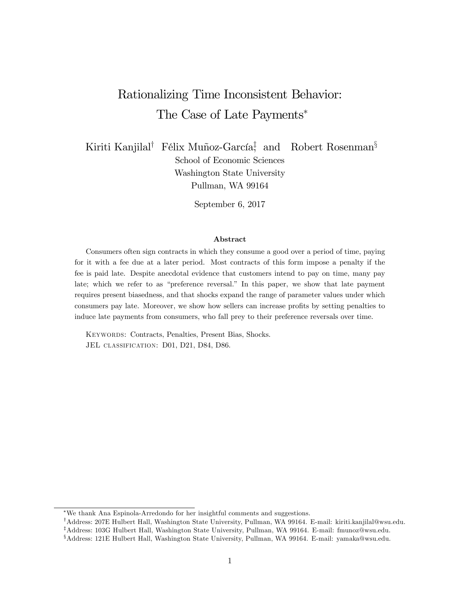# Rationalizing Time Inconsistent Behavior: The Case of Late Payments

Kiriti Kanjilal<sup>†</sup> Félix Muñoz-García<sup>‡</sup>, and Robert Rosenman<sup>§</sup>

School of Economic Sciences Washington State University Pullman, WA 99164

September 6, 2017

#### Abstract

Consumers often sign contracts in which they consume a good over a period of time, paying for it with a fee due at a later period. Most contracts of this form impose a penalty if the fee is paid late. Despite anecdotal evidence that customers intend to pay on time, many pay late; which we refer to as "preference reversal." In this paper, we show that late payment requires present biasedness, and that shocks expand the range of parameter values under which consumers pay late. Moreover, we show how sellers can increase profits by setting penalties to induce late payments from consumers, who fall prey to their preference reversals over time.

Keywords: Contracts, Penalties, Present Bias, Shocks. JEL CLASSIFICATION: D01, D21, D84, D86.

We thank Ana Espinola-Arredondo for her insightful comments and suggestions.

<sup>&</sup>lt;sup>†</sup>Address: 207E Hulbert Hall, Washington State University, Pullman, WA 99164. E-mail: kiriti.kanjilal@wsu.edu.

<sup>&</sup>lt;sup>‡</sup>Address: 103G Hulbert Hall, Washington State University, Pullman, WA 99164. E-mail: fmunoz@wsu.edu.

<sup>x</sup>Address: 121E Hulbert Hall, Washington State University, Pullman, WA 99164. E-mail: yamaka@wsu.edu.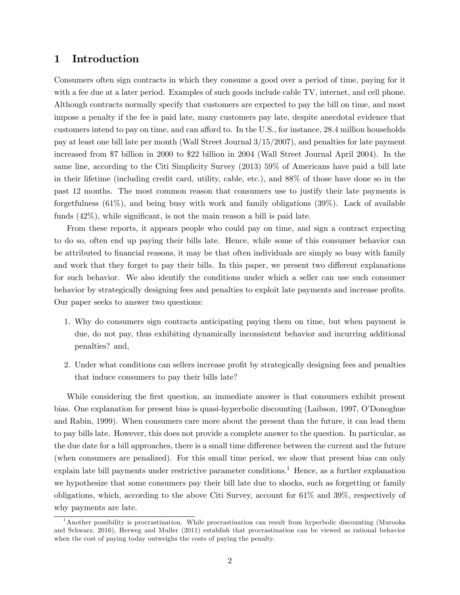# 1 Introduction

Consumers often sign contracts in which they consume a good over a period of time, paying for it with a fee due at a later period. Examples of such goods include cable TV, internet, and cell phone. Although contracts normally specify that customers are expected to pay the bill on time, and most impose a penalty if the fee is paid late, many customers pay late, despite anecdotal evidence that customers intend to pay on time, and can afford to. In the U.S., for instance, 28.4 million households pay at least one bill late per month (Wall Street Journal 3/15/2007), and penalties for late payment increased from \$7 billion in 2000 to \$22 billion in 2004 (Wall Street Journal April 2004). In the same line, according to the Citi Simplicity Survey (2013) 59% of Americans have paid a bill late in their lifetime (including credit card, utility, cable, etc.), and 88% of those have done so in the past 12 months. The most common reason that consumers use to justify their late payments is forgetfulness  $(61\%)$ , and being busy with work and family obligations  $(39\%)$ . Lack of available funds  $(42\%)$ , while significant, is not the main reason a bill is paid late.

From these reports, it appears people who could pay on time, and sign a contract expecting to do so, often end up paying their bills late. Hence, while some of this consumer behavior can be attributed to Önancial reasons, it may be that often individuals are simply so busy with family and work that they forget to pay their bills. In this paper, we present two different explanations for such behavior. We also identify the conditions under which a seller can use such consumer behavior by strategically designing fees and penalties to exploit late payments and increase profits. Our paper seeks to answer two questions:

- 1. Why do consumers sign contracts anticipating paying them on time, but when payment is due, do not pay, thus exhibiting dynamically inconsistent behavior and incurring additional penalties? and,
- 2. Under what conditions can sellers increase profit by strategically designing fees and penalties that induce consumers to pay their bills late?

While considering the first question, an immediate answer is that consumers exhibit present bias. One explanation for present bias is quasi-hyperbolic discounting (Laibson, 1997, O'Donoghue and Rabin, 1999). When consumers care more about the present than the future, it can lead them to pay bills late. However, this does not provide a complete answer to the question. In particular, as the due date for a bill approaches, there is a small time difference between the current and the future (when consumers are penalized). For this small time period, we show that present bias can only explain late bill payments under restrictive parameter conditions.<sup>1</sup> Hence, as a further explanation we hypothesize that some consumers pay their bill late due to shocks, such as forgetting or family obligations, which, according to the above Citi Survey, account for 61% and 39%, respectively of why payments are late.

<sup>&</sup>lt;sup>1</sup>Another possibility is procrastination. While procrastination can result from hyperbolic discounting (Murooka and Schwarz, 2016), Herweg and Muller (2011) establish that procrastination can be viewed as rational behavior when the cost of paying today outweighs the costs of paying the penalty.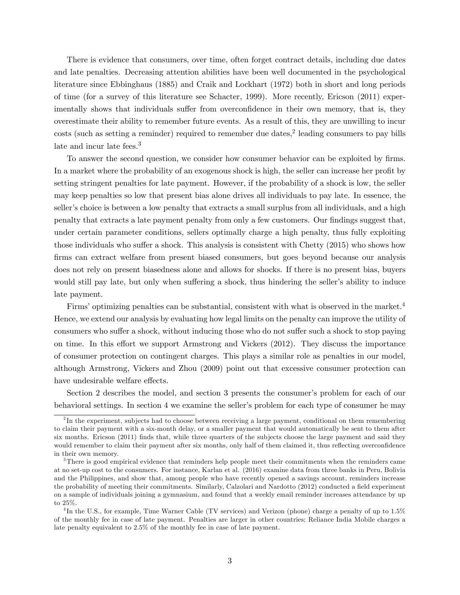There is evidence that consumers, over time, often forget contract details, including due dates and late penalties. Decreasing attention abilities have been well documented in the psychological literature since Ebbinghaus (1885) and Craik and Lockhart (1972) both in short and long periods of time (for a survey of this literature see Schacter, 1999). More recently, Ericson (2011) experimentally shows that individuals suffer from overconfidence in their own memory, that is, they overestimate their ability to remember future events. As a result of this, they are unwilling to incur  $\cos$ ts (such as setting a reminder) required to remember due dates,<sup>2</sup> leading consumers to pay bills late and incur late fees.<sup>3</sup>

To answer the second question, we consider how consumer behavior can be exploited by firms. In a market where the probability of an exogenous shock is high, the seller can increase her profit by setting stringent penalties for late payment. However, if the probability of a shock is low, the seller may keep penalties so low that present bias alone drives all individuals to pay late. In essence, the seller's choice is between a low penalty that extracts a small surplus from all individuals, and a high penalty that extracts a late payment penalty from only a few customers. Our findings suggest that, under certain parameter conditions, sellers optimally charge a high penalty, thus fully exploiting those individuals who suffer a shock. This analysis is consistent with Chetty  $(2015)$  who shows how firms can extract welfare from present biased consumers, but goes beyond because our analysis does not rely on present biasedness alone and allows for shocks. If there is no present bias, buyers would still pay late, but only when suffering a shock, thus hindering the seller's ability to induce late payment.

Firms' optimizing penalties can be substantial, consistent with what is observed in the market.<sup>4</sup> Hence, we extend our analysis by evaluating how legal limits on the penalty can improve the utility of consumers who suffer a shock, without inducing those who do not suffer such a shock to stop paying on time. In this effort we support Armstrong and Vickers  $(2012)$ . They discuss the importance of consumer protection on contingent charges. This plays a similar role as penalties in our model, although Armstrong, Vickers and Zhou (2009) point out that excessive consumer protection can have undesirable welfare effects.

Section 2 describes the model, and section 3 presents the consumer's problem for each of our behavioral settings. In section 4 we examine the seller's problem for each type of consumer he may

<sup>&</sup>lt;sup>2</sup>In the experiment, subjects had to choose between receiving a large payment, conditional on them remembering to claim their payment with a six-month delay, or a smaller payment that would automatically be sent to them after six months. Ericson (2011) finds that, while three quarters of the subjects choose the large payment and said they would remember to claim their payment after six months, only half of them claimed it, thus reflecting overconfidence in their own memory.

<sup>&</sup>lt;sup>3</sup>There is good empirical evidence that reminders help people meet their commitments when the reminders came at no set-up cost to the consumers. For instance, Karlan et al. (2016) examine data from three banks in Peru, Bolivia and the Philippines, and show that, among people who have recently opened a savings account, reminders increase the probability of meeting their commitments. Similarly, Calzolari and Nardotto (2012) conducted a field experiment on a sample of individuals joining a gymnasium, and found that a weekly email reminder increases attendance by up to 25%.

<sup>&</sup>lt;sup>4</sup>In the U.S., for example, Time Warner Cable (TV services) and Verizon (phone) charge a penalty of up to 1.5% of the monthly fee in case of late payment. Penalties are larger in other countries; Reliance India Mobile charges a late penalty equivalent to 2.5% of the monthly fee in case of late payment.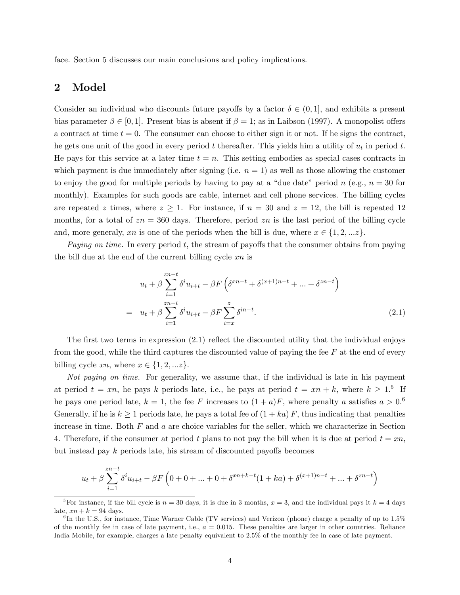face. Section 5 discusses our main conclusions and policy implications.

# 2 Model

Consider an individual who discounts future payoffs by a factor  $\delta \in (0,1]$ , and exhibits a present bias parameter  $\beta \in [0, 1]$ . Present bias is absent if  $\beta = 1$ ; as in Laibson (1997). A monopolist offers a contract at time  $t = 0$ . The consumer can choose to either sign it or not. If he signs the contract, he gets one unit of the good in every period  $t$  thereafter. This yields him a utility of  $u_t$  in period  $t$ . He pays for this service at a later time  $t = n$ . This setting embodies as special cases contracts in which payment is due immediately after signing (i.e.  $n = 1$ ) as well as those allowing the customer to enjoy the good for multiple periods by having to pay at a "due date" period n (e.g.,  $n = 30$  for monthly). Examples for such goods are cable, internet and cell phone services. The billing cycles are repeated z times, where  $z \geq 1$ . For instance, if  $n = 30$  and  $z = 12$ , the bill is repeated 12 months, for a total of  $zn = 360$  days. Therefore, period zn is the last period of the billing cycle and, more generaly, xn is one of the periods when the bill is due, where  $x \in \{1, 2, ...z\}$ .

Paying on time. In every period  $t$ , the stream of payoffs that the consumer obtains from paying the bill due at the end of the current billing cycle  $xn$  is

$$
u_{t} + \beta \sum_{i=1}^{zn-t} \delta^{i} u_{i+t} - \beta F \left( \delta^{zn-t} + \delta^{(x+1)n-t} + \dots + \delta^{zn-t} \right)
$$
  
= 
$$
u_{t} + \beta \sum_{i=1}^{zn-t} \delta^{i} u_{i+t} - \beta F \sum_{i=x}^{z} \delta^{in-t}.
$$
 (2.1)

The first two terms in expression  $(2.1)$  reflect the discounted utility that the individual enjoys from the good, while the third captures the discounted value of paying the fee  $F$  at the end of every billing cycle  $xn$ , where  $x \in \{1, 2, \ldots z\}$ .

Not paying on time. For generality, we assume that, if the individual is late in his payment at period  $t = xn$ , he pays k periods late, i.e., he pays at period  $t = xn + k$ , where  $k \geq 1$ .<sup>5</sup> If he pays one period late,  $k = 1$ , the fee F increases to  $(1 + a)F$ , where penalty a satisfies  $a > 0.6$ Generally, if he is  $k \geq 1$  periods late, he pays a total fee of  $(1 + ka) F$ , thus indicating that penalties increase in time. Both  $F$  and  $a$  are choice variables for the seller, which we characterize in Section 4. Therefore, if the consumer at period t plans to not pay the bill when it is due at period  $t = xn$ , but instead pay  $k$  periods late, his stream of discounted payoffs becomes

$$
u_t + \beta \sum_{i=1}^{zn-t} \delta^i u_{i+t} - \beta F\left(0 + 0 + \dots + 0 + \delta^{xn+k-t}(1 + ka) + \delta^{(x+1)n-t} + \dots + \delta^{zn-t}\right)
$$

<sup>&</sup>lt;sup>5</sup>For instance, if the bill cycle is  $n = 30$  days, it is due in 3 months,  $x = 3$ , and the individual pays it  $k = 4$  days late,  $xn + k = 94$  days.

<sup>&</sup>lt;sup>6</sup>In the U.S., for instance, Time Warner Cable (TV services) and Verizon (phone) charge a penalty of up to 1.5% of the monthly fee in case of late payment, i.e.,  $a = 0.015$ . These penalties are larger in other countries. Reliance India Mobile, for example, charges a late penalty equivalent to 2.5% of the monthly fee in case of late payment.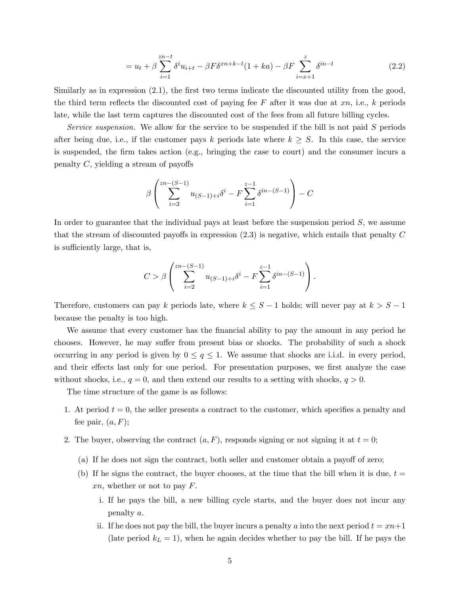$$
= u_t + \beta \sum_{i=1}^{zn-t} \delta^i u_{i+t} - \beta F \delta^{zn+k-t} (1+ka) - \beta F \sum_{i=x+1}^{z} \delta^{in-t}
$$
 (2.2)

Similarly as in expression  $(2.1)$ , the first two terms indicate the discounted utility from the good, the third term reflects the discounted cost of paying fee F after it was due at  $xn$ , i.e., k periods late, while the last term captures the discounted cost of the fees from all future billing cycles.

Service suspension. We allow for the service to be suspended if the bill is not paid S periods after being due, i.e., if the customer pays k periods late where  $k \geq S$ . In this case, the service is suspended, the Örm takes action (e.g., bringing the case to court) and the consumer incurs a penalty  $C$ , yielding a stream of payoffs

$$
\beta \left( \sum_{i=2}^{zn-(S-1)} u_{(S-1)+i} \delta^i - F \sum_{i=1}^{z-1} \delta^{in-(S-1)} \right) - C
$$

In order to guarantee that the individual pays at least before the suspension period  $S$ , we assume that the stream of discounted payoffs in expression  $(2.3)$  is negative, which entails that penalty C is sufficiently large, that is,

$$
C > \beta \left( \sum_{i=2}^{zn-(S-1)} u_{(S-1)+i} \delta^i - F \sum_{i=1}^{z-1} \delta^{in-(S-1)} \right).
$$

Therefore, customers can pay k periods late, where  $k \leq S - 1$  holds; will never pay at  $k > S - 1$ because the penalty is too high.

We assume that every customer has the financial ability to pay the amount in any period he chooses. However, he may suffer from present bias or shocks. The probability of such a shock occurring in any period is given by  $0 \le q \le 1$ . We assume that shocks are i.i.d. in every period, and their effects last only for one period. For presentation purposes, we first analyze the case without shocks, i.e.,  $q = 0$ , and then extend our results to a setting with shocks,  $q > 0$ .

The time structure of the game is as follows:

- 1. At period  $t = 0$ , the seller presents a contract to the customer, which specifies a penalty and fee pair,  $(a, F)$ ;
- 2. The buyer, observing the contract  $(a, F)$ , responds signing or not signing it at  $t = 0$ ;
	- (a) If he does not sign the contract, both seller and customer obtain a payoff of zero;
	- (b) If he signs the contract, the buyer chooses, at the time that the bill when it is due,  $t =$  $xn$ , whether or not to pay  $F$ .
		- i. If he pays the bill, a new billing cycle starts, and the buyer does not incur any penalty a.
		- ii. If he does not pay the bill, the buyer incurs a penalty a into the next period  $t = xn+1$ (late period  $k_L = 1$ ), when he again decides whether to pay the bill. If he pays the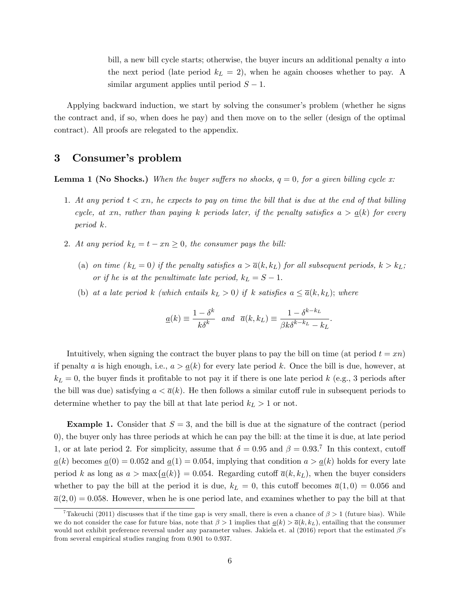bill, a new bill cycle starts; otherwise, the buyer incurs an additional penalty a into the next period (late period  $k<sub>L</sub> = 2$ ), when he again chooses whether to pay. A similar argument applies until period  $S - 1$ .

Applying backward induction, we start by solving the consumer's problem (whether he signs the contract and, if so, when does he pay) and then move on to the seller (design of the optimal contract). All proofs are relegated to the appendix.

# 3 Consumer's problem

**Lemma 1 (No Shocks.)** When the buyer suffers no shocks,  $q = 0$ , for a given billing cycle x:

- 1. At any period  $t < xn$ , he expects to pay on time the bill that is due at the end of that billing cycle, at xn, rather than paying k periods later, if the penalty satisfies  $a > a(k)$  for every period k.
- 2. At any period  $k_L = t xn \geq 0$ , the consumer pays the bill:
	- (a) on time  $(k_L = 0)$  if the penalty satisfies  $a > \overline{a}(k, k_L)$  for all subsequent periods,  $k > k_L$ ; or if he is at the penultimate late period,  $k_L = S - 1$ .
	- (b) at a late period k (which entails  $k_L > 0$ ) if k satisfies  $a \leq \overline{a}(k, k_L)$ ; where

$$
\underline{a}(k) \equiv \frac{1 - \delta^k}{k \delta^k} \quad and \quad \overline{a}(k, k_L) \equiv \frac{1 - \delta^{k - k_L}}{\beta k \delta^{k - k_L} - k_L}.
$$

Intuitively, when signing the contract the buyer plans to pay the bill on time (at period  $t = xn$ ) if penalty a is high enough, i.e.,  $a > a(k)$  for every late period k. Once the bill is due, however, at  $k_L = 0$ , the buyer finds it profitable to not pay it if there is one late period k (e.g., 3 periods after the bill was due) satisfying  $a < \overline{a}(k)$ . He then follows a similar cutoff rule in subsequent periods to determine whether to pay the bill at that late period  $k_L > 1$  or not.

**Example 1.** Consider that  $S = 3$ , and the bill is due at the signature of the contract (period 0), the buyer only has three periods at which he can pay the bill: at the time it is due, at late period 1, or at late period 2. For simplicity, assume that  $\delta = 0.95$  and  $\beta = 0.93$ .<sup>7</sup> In this context, cutoff  $a(k)$  becomes  $a(0) = 0.052$  and  $a(1) = 0.054$ , implying that condition  $a > a(k)$  holds for every late period k as long as  $a > \max\{\underline{a}(k)\}=0.054$ . Regarding cutoff  $\overline{a}(k, k_L)$ , when the buyer considers whether to pay the bill at the period it is due,  $k_L = 0$ , this cutoff becomes  $\overline{a}(1,0) = 0.056$  and  $\overline{a}(2,0) = 0.058$ . However, when he is one period late, and examines whether to pay the bill at that

<sup>&</sup>lt;sup>7</sup>Takeuchi (2011) discusses that if the time gap is very small, there is even a chance of  $\beta > 1$  (future bias). While we do not consider the case for future bias, note that  $\beta > 1$  implies that  $\underline{a}(k) > \overline{a}(k, k_L)$ , entailing that the consumer would not exhibit preference reversal under any parameter values. Jakiela et. al  $(2016)$  report that the estimated  $\beta$ 's from several empirical studies ranging from 0.901 to 0.937.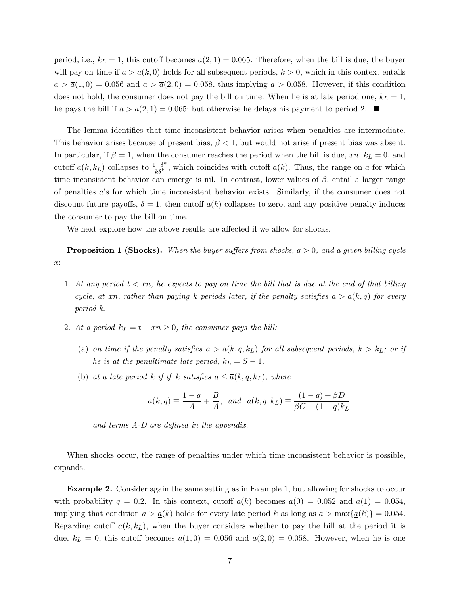period, i.e.,  $k_L = 1$ , this cutoff becomes  $\bar{a}(2, 1) = 0.065$ . Therefore, when the bill is due, the buyer will pay on time if  $a > \overline{a}(k, 0)$  holds for all subsequent periods,  $k > 0$ , which in this context entails  $a > \overline{a}(1,0) = 0.056$  and  $a > \overline{a}(2,0) = 0.058$ , thus implying  $a > 0.058$ . However, if this condition does not hold, the consumer does not pay the bill on time. When he is at late period one,  $k_L = 1$ , he pays the bill if  $a > \overline{a}(2, 1) = 0.065$ ; but otherwise he delays his payment to period 2.

The lemma identifies that time inconsistent behavior arises when penalties are intermediate. This behavior arises because of present bias,  $\beta$  < 1, but would not arise if present bias was absent. In particular, if  $\beta = 1$ , when the consumer reaches the period when the bill is due, xn,  $k_L = 0$ , and cutoff  $\bar{a}(k, k_L)$  collapses to  $\frac{1-\delta^k}{k\delta^k}$  $\frac{e^{-\delta^{\alpha}}}{k\delta^k}$ , which coincides with cutoff  $\underline{a}(k)$ . Thus, the range on a for which time inconsistent behavior can emerge is nil. In contrast, lower values of  $\beta$ , entail a larger range of penalties aís for which time inconsistent behavior exists. Similarly, if the consumer does not discount future payoffs,  $\delta = 1$ , then cutoff  $a(k)$  collapses to zero, and any positive penalty induces the consumer to pay the bill on time.

We next explore how the above results are affected if we allow for shocks.

**Proposition 1 (Shocks).** When the buyer suffers from shocks,  $q > 0$ , and a given billing cycle x:

- 1. At any period  $t < xn$ , he expects to pay on time the bill that is due at the end of that billing cycle, at xn, rather than paying k periods later, if the penalty satisfies  $a > a(k,q)$  for every period k.
- 2. At a period  $k_L = t xn \geq 0$ , the consumer pays the bill:
	- (a) on time if the penalty satisfies  $a > \overline{a}(k, q, k_L)$  for all subsequent periods,  $k > k_L$ ; or if he is at the penultimate late period,  $k_L = S - 1$ .
	- (b) at a late period k if if k satisfies  $a \leq \overline{a}(k, q, k_L)$ ; where

$$
\underline{a}(k,q) \equiv \frac{1-q}{A} + \frac{B}{A}, \quad \text{and} \quad \overline{a}(k,q,k_L) \equiv \frac{(1-q) + \beta D}{\beta C - (1-q)k_L}
$$

and terms  $A-D$  are defined in the appendix.

When shocks occur, the range of penalties under which time inconsistent behavior is possible, expands.

Example 2. Consider again the same setting as in Example 1, but allowing for shocks to occur with probability  $q = 0.2$ . In this context, cutoff  $a(k)$  becomes  $a(0) = 0.052$  and  $a(1) = 0.054$ . implying that condition  $a > a(k)$  holds for every late period k as long as  $a > \max\{a(k)\} = 0.054$ . Regarding cutoff  $\bar{a}(k, k_L)$ , when the buyer considers whether to pay the bill at the period it is due,  $k_L = 0$ , this cutoff becomes  $\overline{a}(1,0) = 0.056$  and  $\overline{a}(2,0) = 0.058$ . However, when he is one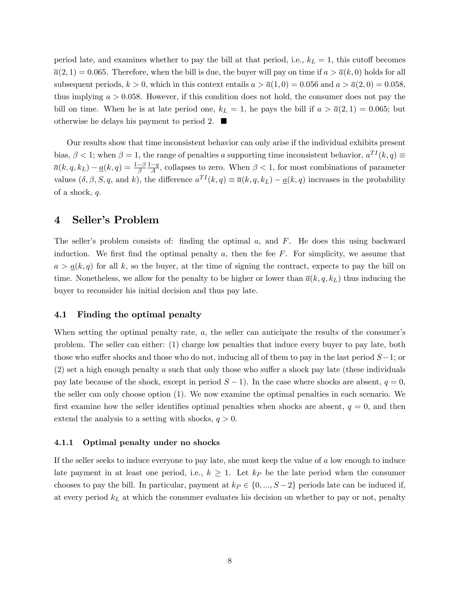period late, and examines whether to pay the bill at that period, i.e.,  $k_L = 1$ , this cutoff becomes  $\overline{a}(2,1) = 0.065$ . Therefore, when the bill is due, the buyer will pay on time if  $a > \overline{a}(k,0)$  holds for all subsequent periods,  $k > 0$ , which in this context entails  $a > \overline{a}(1,0) = 0.056$  and  $a > \overline{a}(2,0) = 0.058$ , thus implying  $a > 0.058$ . However, if this condition does not hold, the consumer does not pay the bill on time. When he is at late period one,  $k_L = 1$ , he pays the bill if  $a > \overline{a}(2, 1) = 0.065$ ; but otherwise he delays his payment to period 2.  $\blacksquare$ 

Our results show that time inconsistent behavior can only arise if the individual exhibits present bias,  $\beta < 1$ ; when  $\beta = 1$ , the range of penalties a supporting time inconsistent behavior,  $a^{TI}(k, q) \equiv$  $\overline{a}(k, q, k_L) - \underline{a}(k, q) = \frac{1-\beta}{\beta} \frac{1-q}{A}$ , collapses to zero. When  $\beta < 1$ , for most combinations of parameter values  $(\delta, \beta, S, q, \text{ and } k)$ , the difference  $a^{TI}(k, q) \equiv \overline{a}(k, q, k_L) - \underline{a}(k, q)$  increases in the probability of a shock, q.

# 4 Seller's Problem

The seller's problem consists of: finding the optimal  $a$ , and  $F$ . He does this using backward induction. We first find the optimal penalty  $a$ , then the fee  $F$ . For simplicity, we assume that  $a > a(k, q)$  for all k, so the buyer, at the time of signing the contract, expects to pay the bill on time. Nonetheless, we allow for the penalty to be higher or lower than  $\overline{a}(k, q, k_L)$  thus inducing the buyer to reconsider his initial decision and thus pay late.

#### 4.1 Finding the optimal penalty

When setting the optimal penalty rate, a, the seller can anticipate the results of the consumer's problem. The seller can either: (1) charge low penalties that induce every buyer to pay late, both those who suffer shocks and those who do not, inducing all of them to pay in the last period  $S-1$ ; or  $(2)$  set a high enough penalty a such that only those who suffer a shock pay late (these individuals pay late because of the shock, except in period  $S-1$ ). In the case where shocks are absent,  $q=0$ , the seller can only choose option (1). We now examine the optimal penalties in each scenario. We first examine how the seller identifies optimal penalties when shocks are absent,  $q = 0$ , and then extend the analysis to a setting with shocks,  $q > 0$ .

#### 4.1.1 Optimal penalty under no shocks

If the seller seeks to induce everyone to pay late, she must keep the value of a low enough to induce late payment in at least one period, i.e.,  $k \geq 1$ . Let  $k_P$  be the late period when the consumer chooses to pay the bill. In particular, payment at  $k_P \in \{0, ..., S-2\}$  periods late can be induced if, at every period  $k<sub>L</sub>$  at which the consumer evaluates his decision on whether to pay or not, penalty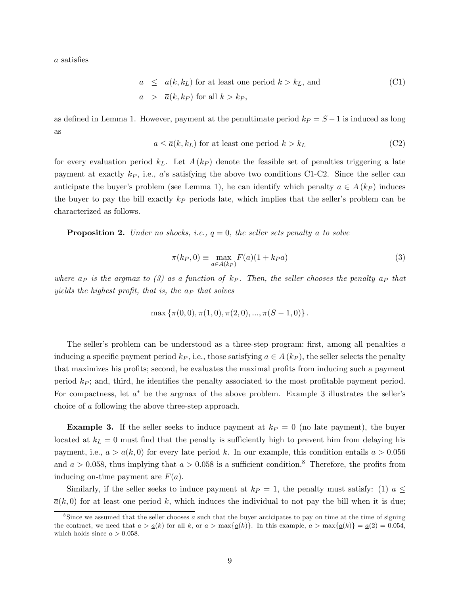a satisfies

$$
a \le \overline{a}(k, k_L)
$$
 for at least one period  $k > k_L$ , and  
\n $a > \overline{a}(k, k_P)$  for all  $k > k_P$ , (C1)

as defined in Lemma 1. However, payment at the penultimate period  $k_P = S - 1$  is induced as long as

$$
a \le \overline{a}(k, k_L) \text{ for at least one period } k > k_L \tag{C2}
$$

for every evaluation period  $k<sub>L</sub>$ . Let  $A(k<sub>P</sub>)$  denote the feasible set of penalties triggering a late payment at exactly  $k_P$ , i.e., a's satisfying the above two conditions C1-C2. Since the seller can anticipate the buyer's problem (see Lemma 1), he can identify which penalty  $a \in A(k_P)$  induces the buyer to pay the bill exactly  $k_P$  periods late, which implies that the seller's problem can be characterized as follows.

**Proposition 2.** Under no shocks, i.e.,  $q = 0$ , the seller sets penalty a to solve

$$
\pi(k_P, 0) \equiv \max_{a \in A(k_P)} F(a)(1 + k_P a)
$$
\n(3)

where  $a_P$  is the argmax to (3) as a function of  $k_P$ . Then, the seller chooses the penalty  $a_P$  that yields the highest profit, that is, the  $a<sub>P</sub>$  that solves

$$
\max \{\pi(0,0), \pi(1,0), \pi(2,0), ..., \pi(S-1,0)\}.
$$

The seller's problem can be understood as a three-step program: first, among all penalties  $a$ inducing a specific payment period  $k_P$ , i.e., those satisfying  $a \in A$  ( $k_P$ ), the seller selects the penalty that maximizes his profits; second, he evaluates the maximal profits from inducing such a payment period  $k<sub>P</sub>$ ; and, third, he identifies the penalty associated to the most profitable payment period. For compactness, let  $a^*$  be the argmax of the above problem. Example 3 illustrates the seller's choice of a following the above three-step approach.

**Example 3.** If the seller seeks to induce payment at  $k_P = 0$  (no late payment), the buyer located at  $k_L = 0$  must find that the penalty is sufficiently high to prevent him from delaying his payment, i.e.,  $a > \overline{a}(k, 0)$  for every late period k. In our example, this condition entails  $a > 0.056$ and  $a > 0.058$ , thus implying that  $a > 0.058$  is a sufficient condition.<sup>8</sup> Therefore, the profits from inducing on-time payment are  $F(a)$ .

Similarly, if the seller seeks to induce payment at  $k_P = 1$ , the penalty must satisfy: (1)  $a \leq$  $\overline{a}(k,0)$  for at least one period k, which induces the individual to not pay the bill when it is due;

<sup>8</sup> Since we assumed that the seller chooses a such that the buyer anticipates to pay on time at the time of signing the contract, we need that  $a > a(k)$  for all k, or  $a > \max\{a(k)\}\$ . In this example,  $a > \max\{a(k)\} = a(2) = 0.054$ , which holds since  $a > 0.058$ .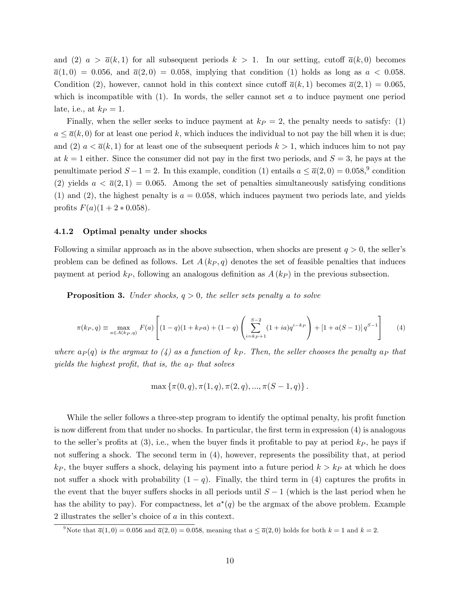and (2)  $a > \overline{a}(k,1)$  for all subsequent periods  $k > 1$ . In our setting, cutoff  $\overline{a}(k,0)$  becomes  $\overline{a}(1,0) = 0.056$ , and  $\overline{a}(2,0) = 0.058$ , implying that condition (1) holds as long as  $a < 0.058$ . Condition (2), however, cannot hold in this context since cutoff  $\bar{a}(k,1)$  becomes  $\bar{a}(2,1) = 0.065$ , which is incompatible with  $(1)$ . In words, the seller cannot set a to induce payment one period late, i.e., at  $k_P = 1$ .

Finally, when the seller seeks to induce payment at  $k_P = 2$ , the penalty needs to satisfy: (1)  $a \leq \overline{a}(k, 0)$  for at least one period k, which induces the individual to not pay the bill when it is due; and (2)  $a < \overline{a}(k,1)$  for at least one of the subsequent periods  $k > 1$ , which induces him to not pay at  $k = 1$  either. Since the consumer did not pay in the first two periods, and  $S = 3$ , he pays at the penultimate period  $S - 1 = 2$ . In this example, condition (1) entails  $a \leq \overline{a}(2, 0) = 0.058$ ,<sup>9</sup> condition (2) yields  $a < \bar{a}(2,1) = 0.065$ . Among the set of penalties simultaneously satisfying conditions (1) and (2), the highest penalty is  $a = 0.058$ , which induces payment two periods late, and yields profits  $F(a)(1 + 2 * 0.058)$ .

#### 4.1.2 Optimal penalty under shocks

Following a similar approach as in the above subsection, when shocks are present  $q > 0$ , the seller's problem can be defined as follows. Let  $A(k_P, q)$  denotes the set of feasible penalties that induces payment at period  $k_P$ , following an analogous definition as  $A (k_P)$  in the previous subsection.

**Proposition 3.** Under shocks,  $q > 0$ , the seller sets penalty a to solve

$$
\pi(k_P, q) \equiv \max_{a \in A(k_P, q)} F(a) \left[ (1 - q)(1 + k_P a) + (1 - q) \left( \sum_{i=k_P+1}^{S-2} (1 + ia) q^{i-k_P} \right) + [1 + a(S-1)] q^{S-1} \right] \tag{4}
$$

where  $a_P(q)$  is the argmax to  $(4)$  as a function of kp. Then, the seller chooses the penalty  $a_P$  that yields the highest profit, that is, the  $a<sub>P</sub>$  that solves

$$
\max \{\pi(0, q), \pi(1, q), \pi(2, q), ..., \pi(S - 1, q)\}.
$$

While the seller follows a three-step program to identify the optimal penalty, his profit function is now different from that under no shocks. In particular, the first term in expression  $(4)$  is analogous to the seller's profits at  $(3)$ , i.e., when the buyer finds it profitable to pay at period  $k<sub>P</sub>$ , he pays if not suffering a shock. The second term in  $(4)$ , however, represents the possibility that, at period  $k_P$ , the buyer suffers a shock, delaying his payment into a future period  $k > k_P$  at which he does not suffer a shock with probability  $(1 - q)$ . Finally, the third term in (4) captures the profits in the event that the buyer suffers shocks in all periods until  $S-1$  (which is the last period when he has the ability to pay). For compactness, let  $a^*(q)$  be the argmax of the above problem. Example 2 illustrates the seller's choice of  $a$  in this context.

<sup>&</sup>lt;sup>9</sup>Note that  $\overline{a}(1,0) = 0.056$  and  $\overline{a}(2,0) = 0.058$ , meaning that  $a \leq \overline{a}(2,0)$  holds for both  $k = 1$  and  $k = 2$ .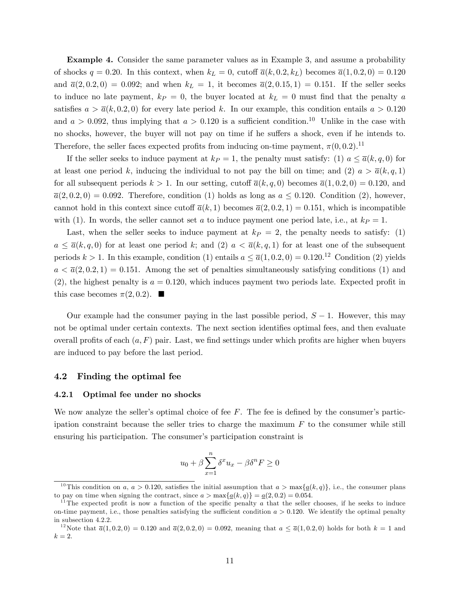Example 4. Consider the same parameter values as in Example 3, and assume a probability of shocks  $q = 0.20$ . In this context, when  $k<sub>L</sub> = 0$ , cutoff  $\bar{a}(k, 0.2, k<sub>L</sub>)$  becomes  $\bar{a}(1, 0.2, 0) = 0.120$ and  $\bar{a}(2, 0.2, 0) = 0.092$ ; and when  $k_L = 1$ , it becomes  $\bar{a}(2, 0.15, 1) = 0.151$ . If the seller seeks to induce no late payment,  $k_P = 0$ , the buyer located at  $k_L = 0$  must find that the penalty a satisfies  $a > \overline{a}(k, 0.2, 0)$  for every late period k. In our example, this condition entails  $a > 0.120$ and  $a > 0.092$ , thus implying that  $a > 0.120$  is a sufficient condition.<sup>10</sup> Unlike in the case with no shocks, however, the buyer will not pay on time if he suffers a shock, even if he intends to. Therefore, the seller faces expected profits from inducing on-time payment,  $\pi(0,0.2)$ .<sup>11</sup>

If the seller seeks to induce payment at  $k_P = 1$ , the penalty must satisfy: (1)  $a \le \bar{a}(k, q, 0)$  for at least one period k, inducing the individual to not pay the bill on time; and (2)  $a > \overline{a}(k, q, 1)$ for all subsequent periods  $k > 1$ . In our setting, cutoff  $\overline{a}(k, q, 0)$  becomes  $\overline{a}(1, 0.2, 0) = 0.120$ , and  $\overline{a}(2,0.2,0) = 0.092$ . Therefore, condition (1) holds as long as  $a \leq 0.120$ . Condition (2), however, cannot hold in this context since cutoff  $\overline{a}(k,1)$  becomes  $\overline{a}(2,0.2,1) = 0.151$ , which is incompatible with (1). In words, the seller cannot set a to induce payment one period late, i.e., at  $k_P = 1$ .

Last, when the seller seeks to induce payment at  $k_P = 2$ , the penalty needs to satisfy: (1)  $a \leq \overline{a}(k, q, 0)$  for at least one period k; and (2)  $a < \overline{a}(k, q, 1)$  for at least one of the subsequent periods  $k > 1$ . In this example, condition (1) entails  $a \leq \overline{a}(1, 0.2, 0) = 0.120^{12}$  Condition (2) yields  $a < \overline{a}(2,0.2,1) = 0.151$ . Among the set of penalties simultaneously satisfying conditions (1) and  $(2)$ , the highest penalty is  $a = 0.120$ , which induces payment two periods late. Expected profit in this case becomes  $\pi(2, 0.2)$ .

Our example had the consumer paying in the last possible period,  $S - 1$ . However, this may not be optimal under certain contexts. The next section identifies optimal fees, and then evaluate overall profits of each  $(a, F)$  pair. Last, we find settings under which profits are higher when buyers are induced to pay before the last period.

#### 4.2 Finding the optimal fee

#### 4.2.1 Optimal fee under no shocks

We now analyze the seller's optimal choice of fee  $F$ . The fee is defined by the consumer's participation constraint because the seller tries to charge the maximum  $F$  to the consumer while still ensuring his participation. The consumer's participation constraint is

$$
u_0 + \beta \sum_{x=1}^n \delta^x u_x - \beta \delta^n F \ge 0
$$

<sup>&</sup>lt;sup>10</sup>This condition on a,  $a > 0.120$ , satisfies the initial assumption that  $a > \max\{a(k, q)\}\)$ , i.e., the consumer plans to pay on time when signing the contract, since  $a > \max\{\underline{a}(k, q)\} = \underline{a}(2, 0.2) = 0.054$ .

 $11$ The expected profit is now a function of the specific penalty a that the seller chooses, if he seeks to induce on-time payment, i.e., those penalties satisfying the sufficient condition  $a > 0.120$ . We identify the optimal penalty in subsection 4.2.2.

<sup>&</sup>lt;sup>12</sup>Note that  $\bar{a}(1, 0.2, 0) = 0.120$  and  $\bar{a}(2, 0.2, 0) = 0.092$ , meaning that  $a \leq \bar{a}(1, 0.2, 0)$  holds for both  $k = 1$  and  $k=2$ .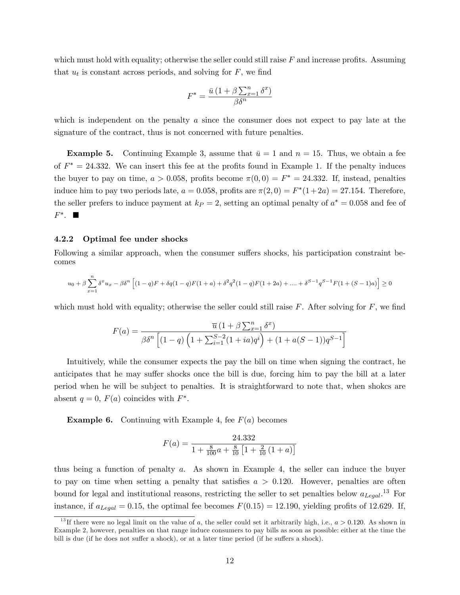which must hold with equality; otherwise the seller could still raise  $F$  and increase profits. Assuming that  $u_t$  is constant across periods, and solving for  $F$ , we find

$$
F^* = \frac{\bar{u} (1 + \beta \sum_{x=1}^n \delta^x)}{\beta \delta^n}
$$

which is independent on the penalty  $a$  since the consumer does not expect to pay late at the signature of the contract, thus is not concerned with future penalties.

**Example 5.** Continuing Example 3, assume that  $\bar{u} = 1$  and  $n = 15$ . Thus, we obtain a fee of  $F^* = 24.332$ . We can insert this fee at the profits found in Example 1. If the penalty induces the buyer to pay on time,  $a > 0.058$ , profits become  $\pi(0,0) = F^* = 24.332$ . If, instead, penalties induce him to pay two periods late,  $a = 0.058$ , profits are  $\pi(2, 0) = F^*(1 + 2a) = 27.154$ . Therefore, the seller prefers to induce payment at  $k_P = 2$ , setting an optimal penalty of  $a^* = 0.058$  and fee of  $F^*$ .  $\blacksquare$ 

#### 4.2.2 Optimal fee under shocks

Following a similar approach, when the consumer suffers shocks, his participation constraint becomes

$$
u_0 + \beta \sum_{x=1}^n \delta^x u_x - \beta \delta^n \left[ (1-q)F + \delta q (1-q)F(1+a) + \delta^2 q^2 (1-q)F(1+2a) + \dots + \delta^{S-1} q^{S-1} F(1+(S-1)a) \right] \ge 0
$$

which must hold with equality; otherwise the seller could still raise  $F$ . After solving for  $F$ , we find

$$
F(a) = \frac{\overline{u} (1 + \beta \sum_{x=1}^{n} \delta^x)}{\beta \delta^n \left[ (1 - q) \left( 1 + \sum_{i=1}^{S-2} (1 + ia) q^i \right) + (1 + a(S - 1)) q^{S - 1} \right]}
$$

Intuitively, while the consumer expects the pay the bill on time when signing the contract, he anticipates that he may suffer shocks once the bill is due, forcing him to pay the bill at a later period when he will be subject to penalties. It is straightforward to note that, when shokcs are absent  $q = 0$ ,  $F(a)$  coincides with  $F^*$ .

**Example 6.** Continuing with Example 4, fee  $F(a)$  becomes

$$
F(a) = \frac{24.332}{1 + \frac{8}{100}a + \frac{8}{10}\left[1 + \frac{2}{10}\left(1 + a\right)\right]}
$$

thus being a function of penalty a. As shown in Example 4, the seller can induce the buyer to pay on time when setting a penalty that satisfies  $a > 0.120$ . However, penalties are often bound for legal and institutional reasons, restricting the seller to set penalties below  $a_{Legal}$ <sup>13</sup> For instance, if  $a_{Legal} = 0.15$ , the optimal fee becomes  $F(0.15) = 12.190$ , yielding profits of 12.629. If,

<sup>&</sup>lt;sup>13</sup>If there were no legal limit on the value of a, the seller could set it arbitrarily high, i.e.,  $a > 0.120$ . As shown in Example 2, however, penalties on that range induce consumers to pay bills as soon as possible: either at the time the bill is due (if he does not suffer a shock), or at a later time period (if he suffers a shock).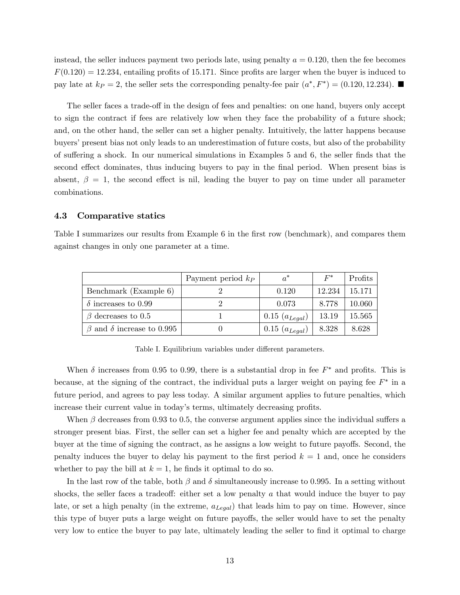instead, the seller induces payment two periods late, using penalty  $a = 0.120$ , then the fee becomes  $F(0.120) = 12.234$ , entailing profits of 15.171. Since profits are larger when the buyer is induced to pay late at  $k_P = 2$ , the seller sets the corresponding penalty-fee pair  $(a^*, F^*) = (0.120, 12.234)$ .

The seller faces a trade-off in the design of fees and penalties: on one hand, buyers only accept to sign the contract if fees are relatively low when they face the probability of a future shock; and, on the other hand, the seller can set a higher penalty. Intuitively, the latter happens because buyers' present bias not only leads to an underestimation of future costs, but also of the probability of suffering a shock. In our numerical simulations in Examples 5 and 6, the seller finds that the second effect dominates, thus inducing buyers to pay in the final period. When present bias is absent,  $\beta = 1$ , the second effect is nil, leading the buyer to pay on time under all parameter combinations.

#### 4.3 Comparative statics

Table I summarizes our results from Example 6 in the first row (benchmark), and compares them against changes in only one parameter at a time.

|                                        | Payment period $k_P$ | $a^*$              | $F^*$  | Profits    |
|----------------------------------------|----------------------|--------------------|--------|------------|
| Benchmark (Example 6)                  |                      | 0.120              | 12.234 | 15.171     |
| $\delta$ increases to 0.99             |                      | 0.073              | 8.778  | 10.060     |
| $\beta$ decreases to 0.5               |                      | $0.15 (a_{Legal})$ | 13.19  | $15.565\,$ |
| $\beta$ and $\delta$ increase to 0.995 |                      | $0.15 (a_{legal})$ | 8.328  | 8.628      |

Table I. Equilibrium variables under different parameters.

When  $\delta$  increases from 0.95 to 0.99, there is a substantial drop in fee  $F^*$  and profits. This is because, at the signing of the contract, the individual puts a larger weight on paying fee  $F^*$  in a future period, and agrees to pay less today. A similar argument applies to future penalties, which increase their current value in today's terms, ultimately decreasing profits.

When  $\beta$  decreases from 0.93 to 0.5, the converse argument applies since the individual suffers a stronger present bias. First, the seller can set a higher fee and penalty which are accepted by the buyer at the time of signing the contract, as he assigns a low weight to future payoffs. Second, the penalty induces the buyer to delay his payment to the first period  $k = 1$  and, once he considers whether to pay the bill at  $k = 1$ , he finds it optimal to do so.

In the last row of the table, both  $\beta$  and  $\delta$  simultaneously increase to 0.995. In a setting without shocks, the seller faces a tradeoff: either set a low penalty  $a$  that would induce the buyer to pay late, or set a high penalty (in the extreme,  $a_{\text{Leqal}}$ ) that leads him to pay on time. However, since this type of buyer puts a large weight on future payoffs, the seller would have to set the penalty very low to entice the buyer to pay late, ultimately leading the seller to find it optimal to charge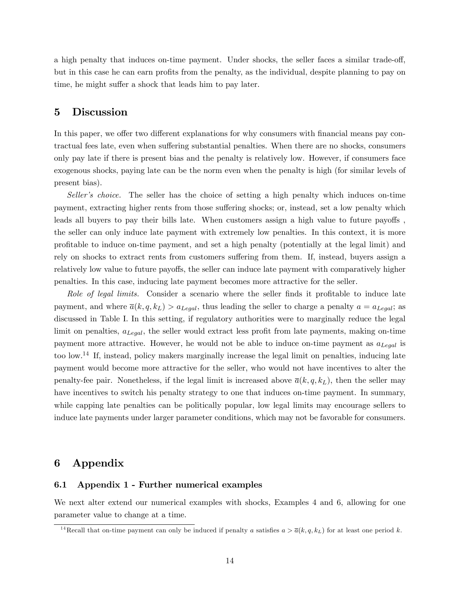a high penalty that induces on-time payment. Under shocks, the seller faces a similar trade-off, but in this case he can earn profits from the penalty, as the individual, despite planning to pay on time, he might suffer a shock that leads him to pay later.

### 5 Discussion

In this paper, we offer two different explanations for why consumers with financial means pay contractual fees late, even when suffering substantial penalties. When there are no shocks, consumers only pay late if there is present bias and the penalty is relatively low. However, if consumers face exogenous shocks, paying late can be the norm even when the penalty is high (for similar levels of present bias).

Seller's choice. The seller has the choice of setting a high penalty which induces on-time payment, extracting higher rents from those suffering shocks; or, instead, set a low penalty which leads all buyers to pay their bills late. When customers assign a high value to future payoffs. the seller can only induce late payment with extremely low penalties. In this context, it is more proÖtable to induce on-time payment, and set a high penalty (potentially at the legal limit) and rely on shocks to extract rents from customers suffering from them. If, instead, buyers assign a relatively low value to future payoffs, the seller can induce late payment with comparatively higher penalties. In this case, inducing late payment becomes more attractive for the seller.

Role of legal limits. Consider a scenario where the seller finds it profitable to induce late payment, and where  $\overline{a}(k, q, k_L) > a_{Legal}$ , thus leading the seller to charge a penalty  $a = a_{Legal}$ ; as discussed in Table I. In this setting, if regulatory authorities were to marginally reduce the legal limit on penalties,  $a_{Legal}$ , the seller would extract less profit from late payments, making on-time payment more attractive. However, he would not be able to induce on-time payment as  $a_{Legal}$  is too low.<sup>14</sup> If, instead, policy makers marginally increase the legal limit on penalties, inducing late payment would become more attractive for the seller, who would not have incentives to alter the penalty-fee pair. Nonetheless, if the legal limit is increased above  $\bar{a}(k, q, k_L)$ , then the seller may have incentives to switch his penalty strategy to one that induces on-time payment. In summary, while capping late penalties can be politically popular, low legal limits may encourage sellers to induce late payments under larger parameter conditions, which may not be favorable for consumers.

### 6 Appendix

#### 6.1 Appendix 1 - Further numerical examples

We next alter extend our numerical examples with shocks, Examples 4 and 6, allowing for one parameter value to change at a time.

<sup>&</sup>lt;sup>14</sup>Recall that on-time payment can only be induced if penalty a satisfies  $a > \overline{a}(k, q, k_L)$  for at least one period k.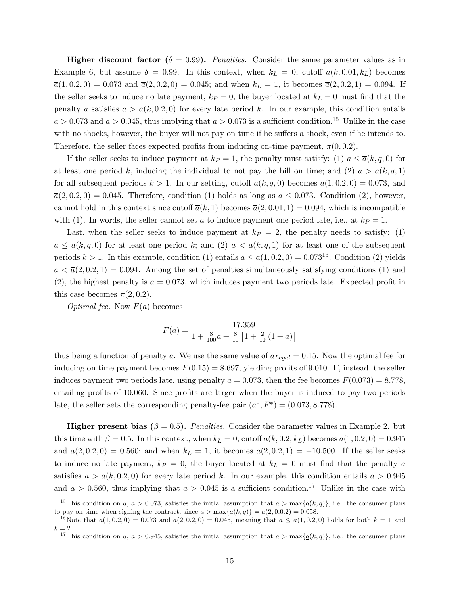**Higher discount factor** ( $\delta = 0.99$ ). *Penalties.* Consider the same parameter values as in Example 6, but assume  $\delta = 0.99$ . In this context, when  $k_L = 0$ , cutoff  $\overline{a}(k, 0.01, k_L)$  becomes  $\overline{a}(1,0.2,0) = 0.073$  and  $\overline{a}(2,0.2,0) = 0.045$ ; and when  $k_L = 1$ , it becomes  $\overline{a}(2,0.2,1) = 0.094$ . If the seller seeks to induce no late payment,  $k_P = 0$ , the buyer located at  $k_L = 0$  must find that the penalty a satisfies  $a > \overline{a}(k, 0.2, 0)$  for every late period k. In our example, this condition entails  $a > 0.073$  and  $a > 0.045$ , thus implying that  $a > 0.073$  is a sufficient condition.<sup>15</sup> Unlike in the case with no shocks, however, the buyer will not pay on time if he suffers a shock, even if he intends to. Therefore, the seller faces expected profits from inducing on-time payment,  $\pi(0, 0.2)$ .

If the seller seeks to induce payment at  $k_P = 1$ , the penalty must satisfy: (1)  $a \le \bar{a}(k, q, 0)$  for at least one period k, inducing the individual to not pay the bill on time; and (2)  $a > \overline{a}(k, q, 1)$ for all subsequent periods  $k > 1$ . In our setting, cutoff  $\overline{a}(k, q, 0)$  becomes  $\overline{a}(1, 0.2, 0) = 0.073$ , and  $\overline{a}(2,0.2,0) = 0.045$ . Therefore, condition (1) holds as long as  $a \leq 0.073$ . Condition (2), however, cannot hold in this context since cutoff  $\overline{a}(k,1)$  becomes  $\overline{a}(2,0.01,1) = 0.094$ , which is incompatible with (1). In words, the seller cannot set a to induce payment one period late, i.e., at  $k_P = 1$ .

Last, when the seller seeks to induce payment at  $k_P = 2$ , the penalty needs to satisfy: (1)  $a \leq \overline{a}(k, q, 0)$  for at least one period k; and (2)  $a < \overline{a}(k, q, 1)$  for at least one of the subsequent periods  $k > 1$ . In this example, condition (1) entails  $a \leq \overline{a}(1, 0.2, 0) = 0.073^{16}$ . Condition (2) yields  $a < \overline{a}(2,0.2,1) = 0.094$ . Among the set of penalties simultaneously satisfying conditions (1) and  $(2)$ , the highest penalty is  $a = 0.073$ , which induces payment two periods late. Expected profit in this case becomes  $\pi(2, 0.2)$ .

Optimal fee. Now  $F(a)$  becomes

$$
F(a) = \frac{17.359}{1 + \frac{8}{100}a + \frac{8}{10}\left[1 + \frac{2}{10}\left(1 + a\right)\right]}
$$

thus being a function of penalty a. We use the same value of  $a_{Legal} = 0.15$ . Now the optimal fee for inducing on time payment becomes  $F(0.15) = 8.697$ , yielding profits of 9.010. If, instead, the seller induces payment two periods late, using penalty  $a = 0.073$ , then the fee becomes  $F(0.073) = 8.778$ , entailing profits of 10.060. Since profits are larger when the buyer is induced to pay two periods late, the seller sets the corresponding penalty-fee pair  $(a^*, F^*) = (0.073, 8.778)$ .

**Higher present bias**  $(\beta = 0.5)$ . *Penalties.* Consider the parameter values in Example 2. but this time with  $\beta = 0.5$ . In this context, when  $k_L = 0$ , cutoff  $\overline{a}(k, 0.2, k_L)$  becomes  $\overline{a}(1, 0.2, 0) = 0.945$ and  $\bar{a}(2, 0.2, 0) = 0.560$ ; and when  $k_L = 1$ , it becomes  $\bar{a}(2, 0.2, 1) = -10.500$ . If the seller seeks to induce no late payment,  $k_P = 0$ , the buyer located at  $k_L = 0$  must find that the penalty a satisfies  $a > \overline{a}(k, 0.2, 0)$  for every late period k. In our example, this condition entails  $a > 0.945$ and  $a > 0.560$ , thus implying that  $a > 0.945$  is a sufficient condition.<sup>17</sup> Unlike in the case with

<sup>&</sup>lt;sup>15</sup>This condition on a,  $a > 0.073$ , satisfies the initial assumption that  $a > \max\{a(k, q)\}\)$ , i.e., the consumer plans to pay on time when signing the contract, since  $a > \max\{a(k, q)\} = a(2, 0.0.2) = 0.058$ .

<sup>&</sup>lt;sup>16</sup>Note that  $\bar{a}(1, 0.2, 0) = 0.073$  and  $\bar{a}(2, 0.2, 0) = 0.045$ , meaning that  $a \leq \bar{a}(1, 0.2, 0)$  holds for both  $k = 1$  and  $k=2.$ 

<sup>&</sup>lt;sup>17</sup>This condition on a,  $a > 0.945$ , satisfies the initial assumption that  $a > \max\{\underline{a}(k, q)\}\)$ , i.e., the consumer plans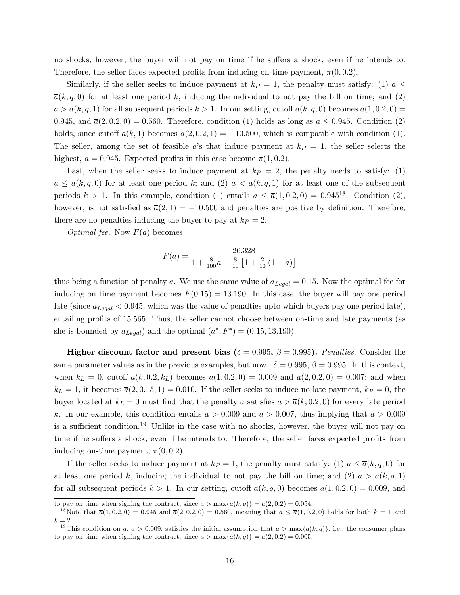no shocks, however, the buyer will not pay on time if he suffers a shock, even if he intends to. Therefore, the seller faces expected profits from inducing on-time payment,  $\pi(0, 0.2)$ .

Similarly, if the seller seeks to induce payment at  $k_P = 1$ , the penalty must satisfy: (1)  $a \leq$  $\overline{a}(k, q, 0)$  for at least one period k, inducing the individual to not pay the bill on time; and (2)  $a > \overline{a}(k, q, 1)$  for all subsequent periods  $k > 1$ . In our setting, cutoff  $\overline{a}(k, q, 0)$  becomes  $\overline{a}(1, 0.2, 0)$  = 0.945, and  $\overline{a}(2,0.2,0) = 0.560$ . Therefore, condition (1) holds as long as  $a \leq 0.945$ . Condition (2) holds, since cutoff  $\overline{a}(k,1)$  becomes  $\overline{a}(2,0.2,1) = -10.500$ , which is compatible with condition (1). The seller, among the set of feasible a's that induce payment at  $k_P = 1$ , the seller selects the highest,  $a = 0.945$ . Expected profits in this case become  $\pi(1, 0.2)$ .

Last, when the seller seeks to induce payment at  $k_P = 2$ , the penalty needs to satisfy: (1)  $a \leq \overline{a}(k, q, 0)$  for at least one period k; and (2)  $a < \overline{a}(k, q, 1)$  for at least one of the subsequent periods  $k > 1$ . In this example, condition (1) entails  $a \leq \overline{a}(1, 0.2, 0) = 0.945^{18}$ . Condition (2), however, is not satisfied as  $\overline{a}(2,1) = -10.500$  and penalties are positive by definition. Therefore, there are no penalties inducing the buyer to pay at  $k_P = 2$ .

*Optimal fee.* Now  $F(a)$  becomes

$$
F(a) = \frac{26.328}{1 + \frac{8}{100}a + \frac{8}{10}\left[1 + \frac{2}{10}\left(1 + a\right)\right]}
$$

thus being a function of penalty a. We use the same value of  $a_{\text{Legal}} = 0.15$ . Now the optimal fee for inducing on time payment becomes  $F(0.15) = 13.190$ . In this case, the buyer will pay one period late (since  $a_{Legal} < 0.945$ , which was the value of penalties upto which buyers pay one period late), entailing profits of 15.565. Thus, the seller cannot choose between on-time and late payments (as she is bounded by  $a_{Legal}$ ) and the optimal  $(a^*, F^*) = (0.15, 13.190)$ .

**Higher discount factor and present bias**  $(\delta = 0.995, \beta = 0.995)$ . Penalties. Consider the same parameter values as in the previous examples, but now,  $\delta = 0.995$ ,  $\beta = 0.995$ . In this context, when  $k_L = 0$ , cutoff  $\bar{a}(k, 0.2, k_L)$  becomes  $\bar{a}(1, 0.2, 0) = 0.009$  and  $\bar{a}(2, 0.2, 0) = 0.007$ ; and when  $k_L = 1$ , it becomes  $\overline{a}(2, 0.15, 1) = 0.010$ . If the seller seeks to induce no late payment,  $k_P = 0$ , the buyer located at  $k_L = 0$  must find that the penalty a satisfies  $a > \overline{a}(k, 0.2, 0)$  for every late period k. In our example, this condition entails  $a > 0.009$  and  $a > 0.007$ , thus implying that  $a > 0.009$ is a sufficient condition.<sup>19</sup> Unlike in the case with no shocks, however, the buyer will not pay on time if he suffers a shock, even if he intends to. Therefore, the seller faces expected profits from inducing on-time payment,  $\pi(0, 0.2)$ .

If the seller seeks to induce payment at  $k_P = 1$ , the penalty must satisfy: (1)  $a \le \overline{a}(k, q, 0)$  for at least one period k, inducing the individual to not pay the bill on time; and (2)  $a > \overline{a}(k, q, 1)$ for all subsequent periods  $k > 1$ . In our setting, cutoff  $\overline{a}(k, q, 0)$  becomes  $\overline{a}(1, 0.2, 0) = 0.009$ , and

to pay on time when signing the contract, since  $a > \max\{a(k, q)\} = a(2, 0.2) = 0.054$ .

<sup>&</sup>lt;sup>18</sup>Note that  $\bar{a}(1, 0.2, 0) = 0.945$  and  $\bar{a}(2, 0.2, 0) = 0.560$ , meaning that  $a \leq \bar{a}(1, 0.2, 0)$  holds for both  $k = 1$  and  $k=2$ .

<sup>&</sup>lt;sup>19</sup>This condition on a,  $a > 0.009$ , satisfies the initial assumption that  $a > \max\{\underline{a}(k, q)\}\)$ , i.e., the consumer plans to pay on time when signing the contract, since  $a > \max\{\underline{a}(k, q)\} = \underline{a}(2, 0.2) = 0.005$ .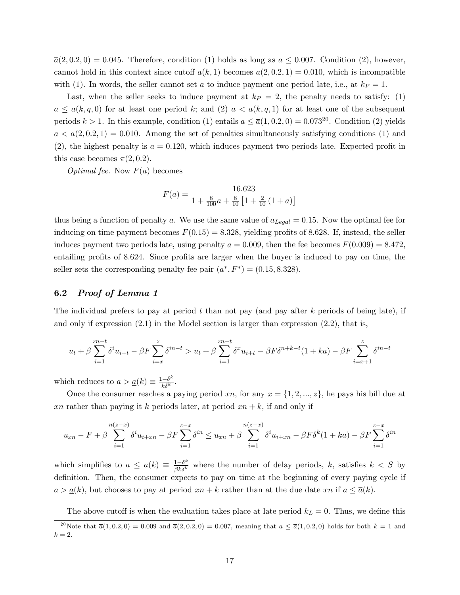$\overline{a}(2,0.2,0) = 0.045$ . Therefore, condition (1) holds as long as  $a \leq 0.007$ . Condition (2), however, cannot hold in this context since cutoff  $\bar{a}(k,1)$  becomes  $\bar{a}(2,0.2,1) = 0.010$ , which is incompatible with (1). In words, the seller cannot set a to induce payment one period late, i.e., at  $k_P = 1$ .

Last, when the seller seeks to induce payment at  $k_P = 2$ , the penalty needs to satisfy: (1)  $a \leq \overline{a}(k, q, 0)$  for at least one period k; and (2)  $a < \overline{a}(k, q, 1)$  for at least one of the subsequent periods  $k > 1$ . In this example, condition (1) entails  $a \leq \overline{a}(1, 0.2, 0) = 0.073^{20}$ . Condition (2) yields  $a < \bar{a}(2, 0.2, 1) = 0.010$ . Among the set of penalties simultaneously satisfying conditions (1) and  $(2)$ , the highest penalty is  $a = 0.120$ , which induces payment two periods late. Expected profit in this case becomes  $\pi(2, 0.2)$ .

*Optimal fee.* Now  $F(a)$  becomes

$$
F(a) = \frac{16.623}{1 + \frac{8}{100}a + \frac{8}{10}\left[1 + \frac{2}{10}\left(1 + a\right)\right]}
$$

thus being a function of penalty a. We use the same value of  $a_{Legal} = 0.15$ . Now the optimal fee for inducing on time payment becomes  $F(0.15) = 8.328$ , yielding profits of 8.628. If, instead, the seller induces payment two periods late, using penalty  $a = 0.009$ , then the fee becomes  $F(0.009) = 8.472$ . entailing profits of 8.624. Since profits are larger when the buyer is induced to pay on time, the seller sets the corresponding penalty-fee pair  $(a^*, F^*) = (0.15, 8.328)$ .

### 6.2 Proof of Lemma 1

The individual prefers to pay at period t than not pay (and pay after k periods of being late), if and only if expression  $(2.1)$  in the Model section is larger than expression  $(2.2)$ , that is,

$$
u_t + \beta \sum_{i=1}^{zn-t} \delta^i u_{i+t} - \beta F \sum_{i=x}^z \delta^{in-t} > u_t + \beta \sum_{i=1}^{zn-t} \delta^x u_{i+t} - \beta F \delta^{n+k-t} (1+ka) - \beta F \sum_{i=x+1}^z \delta^{in-t}
$$

which reduces to  $a > \underline{a}(k) \equiv \frac{1-\delta^k}{k\delta^k}$  $\frac{-\delta^n}{k\delta^k}$ .

Once the consumer reaches a paying period xn, for any  $x = \{1, 2, ..., z\}$ , he pays his bill due at xn rather than paying it k periods later, at period  $xn + k$ , if and only if

$$
u_{xn} - F + \beta \sum_{i=1}^{n(z-x)} \delta^i u_{i+xn} - \beta F \sum_{i=1}^{z-x} \delta^{in} \le u_{xn} + \beta \sum_{i=1}^{n(z-x)} \delta^i u_{i+xn} - \beta F \delta^k (1+ka) - \beta F \sum_{i=1}^{z-x} \delta^{in}
$$

which simplifies to  $a \leq \overline{a}(k) \equiv \frac{1-\delta^k}{\beta k \delta^k}$  where the number of delay periods, k, satisfies  $k < S$  by definition. Then, the consumer expects to pay on time at the beginning of every paying cycle if  $a > a(k)$ , but chooses to pay at period  $xn + k$  rather than at the due date xn if  $a \leq \overline{a}(k)$ .

The above cutoff is when the evaluation takes place at late period  $k_L = 0$ . Thus, we define this

<sup>&</sup>lt;sup>20</sup>Note that  $\bar{a}(1,0.2,0) = 0.009$  and  $\bar{a}(2,0.2,0) = 0.007$ , meaning that  $a \leq \bar{a}(1,0.2,0)$  holds for both  $k = 1$  and  $k=2.$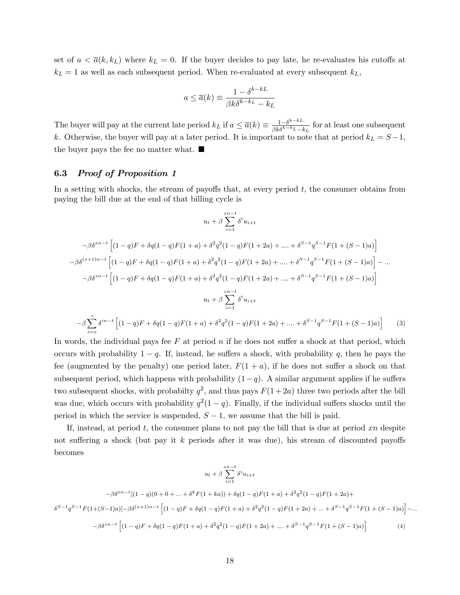set of  $a < \overline{a}(k, k_L)$  where  $k_L = 0$ . If the buyer decides to pay late, he re-evaluates his cutoffs at  $k_L = 1$  as well as each subsequent period. When re-evaluated at every subsequent  $k_L$ ,

$$
a \le \overline{a}(k) \equiv \frac{1 - \delta^{k - kL}}{\beta k \delta^{k - k_L} - k_L}
$$

The buyer will pay at the current late period  $k_L$  if  $a \leq \overline{a}(k) \equiv \frac{1-\delta^{k-k}}{\beta k \delta^{k-k}L - \mu}$  $\frac{1-\delta^{n}}{\beta k \delta^{k-k}L-k_L}$  for at least one subsequent k. Otherwise, the buyer will pay at a later period. It is important to note that at period  $k_L = S-1$ , the buyer pays the fee no matter what.  $\blacksquare$ 

### 6.3 Proof of Proposition 1

In a setting with shocks, the stream of payoffs that, at every period  $t$ , the consumer obtains from paying the bill due at the end of that billing cycle is

$$
u_{t} + \beta \sum_{i=1}^{2n-t} \delta^{i} u_{i+t}
$$
  
\n
$$
-\beta \delta^{xn-t} \left[ (1-q)F + \delta q(1-q)F(1+a) + \delta^{2} q^{2} (1-q)F(1+2a) + \dots + \delta^{S-1} q^{S-1} F(1+(S-1)a) \right]
$$
  
\n
$$
-\beta \delta^{(x+1)n-t} \left[ (1-q)F + \delta q(1-q)F(1+a) + \delta^{2} q^{2} (1-q)F(1+2a) + \dots + \delta^{S-1} q^{S-1} F(1+(S-1)a) \right] - \dots
$$
  
\n
$$
-\beta \delta^{zn-t} \left[ (1-q)F + \delta q(1-q)F(1+a) + \delta^{2} q^{2} (1-q)F(1+2a) + \dots + \delta^{S-1} q^{S-1} F(1+(S-1)a) \right]
$$
  
\n
$$
u_{t} + \beta \sum_{i=1}^{2n-t} \delta^{i} u_{i+t}
$$
  
\n
$$
-\beta \sum_{i=x}^{2n-t} \delta^{in-t} \left[ (1-q)F + \delta q(1-q)F(1+a) + \delta^{2} q^{2} (1-q)F(1+2a) + \dots + \delta^{S-1} q^{S-1} F(1+(S-1)a) \right]
$$
(3)

In words, the individual pays fee  $F$  at period  $n$  if he does not suffer a shock at that period, which occurs with probability  $1 - q$ . If, instead, he suffers a shock, with probability q, then he pays the fee (augmented by the penalty) one period later,  $F(1 + a)$ , if he does not suffer a shock on that subsequent period, which happens with probability  $(1-q)$ . A similar argument applies if he suffers two subsequent shocks, with probabilty  $q^2$ , and thus pays  $F(1+2a)$  three two periods after the bill was due, which occurs with probability  $q^2(1-q)$ . Finally, if the individual suffers shocks until the period in which the service is suspended,  $S - 1$ , we assume that the bill is paid.

If, instead, at period t, the consumer plans to not pay the bill that is due at period  $xn$  despite not suffering a shock (but pay it k periods after it was due), his stream of discounted payoffs becomes

$$
u_{t} + \beta \sum_{i=1}^{2n-t} \delta^{i} u_{i+t}
$$
  

$$
-\beta \delta^{xn-t} [(1-q)(0+0+...+\delta^{k} F(1+ka)) + \delta q(1-q)F(1+a) + \delta^{2} q^{2} (1-q)F(1+2a) +
$$
  

$$
\delta^{S-1} q^{S-1} F(1+(S-1)a)] - \beta \delta^{(x+1)n-t} \left[ (1-q)F + \delta q(1-q)F(1+a) + \delta^{2} q^{2} (1-q)F(1+2a) + ... + \delta^{S-1} q^{S-1} F(1+(S-1)a) \right] - ...
$$
  

$$
-\beta \delta^{zn-t} \left[ (1-q)F + \delta q(1-q)F(1+a) + \delta^{2} q^{2} (1-q)F(1+2a) + ... + \delta^{S-1} q^{S-1} F(1+(S-1)a) \right] \tag{4}
$$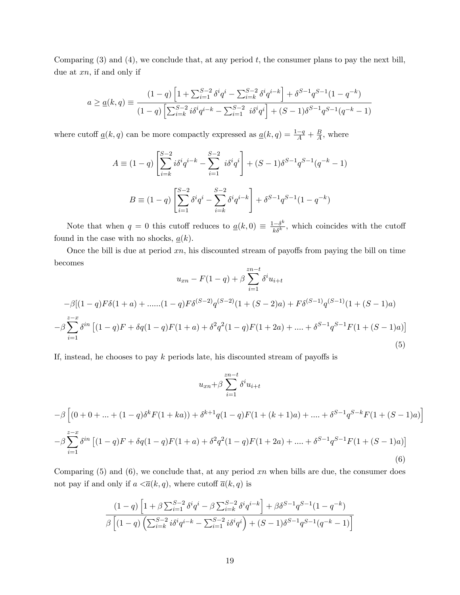Comparing  $(3)$  and  $(4)$ , we conclude that, at any period t, the consumer plans to pay the next bill, due at  $xn$ , if and only if

$$
a \geq \underline{a}(k,q) \equiv \frac{(1-q)\left[1+\sum_{i=1}^{S-2}\delta^iq^i - \sum_{i=k}^{S-2}\delta^iq^{i-k}\right] + \delta^{S-1}q^{S-1}(1-q^{-k})}{(1-q)\left[\sum_{i=k}^{S-2}i\delta^iq^{i-k} - \sum_{i=1}^{S-2}i\delta^iq^i\right] + (S-1)\delta^{S-1}q^{S-1}(q^{-k}-1)}
$$

where cutoff  $\underline{a}(k, q)$  can be more compactly expressed as  $\underline{a}(k, q) = \frac{1-q}{A} + \frac{B}{A}$  $\frac{B}{A}$ , where

$$
A \equiv (1-q) \left[ \sum_{i=k}^{S-2} i \delta^i q^{i-k} - \sum_{i=1}^{S-2} i \delta^i q^i \right] + (S-1) \delta^{S-1} q^{S-1} (q^{-k} - 1)
$$

$$
B \equiv (1-q) \left[ \sum_{i=1}^{S-2} \delta^i q^i - \sum_{i=k}^{S-2} \delta^i q^{i-k} \right] + \delta^{S-1} q^{S-1} (1-q^{-k})
$$

Note that when  $q = 0$  this cutoff reduces to  $\underline{a}(k,0) \equiv \frac{1-\delta^k}{k\delta^k}$  $\frac{e^{-\delta^n}}{k\delta^k}$ , which coincides with the cutoff found in the case with no shocks,  $\underline{a}(k)$ .

Once the bill is due at period  $xn$ , his discounted stream of payoffs from paying the bill on time becomes

$$
u_{xn} - F(1-q) + \beta \sum_{i=1}^{zn-t} \delta^i u_{i+t}
$$
  

$$
-\beta[(1-q)F\delta(1+a) + \dots + (1-q)F\delta^{(S-2)}q^{(S-2)}(1+(S-2)a) + F\delta^{(S-1)}q^{(S-1)}(1+(S-1)a)
$$
  

$$
-\beta \sum_{i=1}^{z-x} \delta^{in} [(1-q)F + \delta q(1-q)F(1+a) + \delta^2 q^2(1-q)F(1+2a) + \dots + \delta^{S-1}q^{S-1}F(1+(S-1)a)]
$$
  
(5)

If, instead, he chooses to pay k periods late, his discounted stream of payoffs is

$$
u_{xn} + \beta \sum_{i=1}^{zn-t} \delta^i u_{i+t}
$$
  
\n
$$
-\beta \left[ (0+0+...+(1-q)\delta^k F(1+ka)) + \delta^{k+1} q(1-q)F(1+(k+1)a) + .... + \delta^{S-1} q^{S-k} F(1+(S-1)a) \right]
$$
  
\n
$$
-\beta \sum_{i=1}^{z-x} \delta^{in} \left[ (1-q)F + \delta q(1-q)F(1+a) + \delta^2 q^2 (1-q)F(1+2a) + .... + \delta^{S-1} q^{S-1} F(1+(S-1)a) \right]
$$
  
\n(6)

Comparing  $(5)$  and  $(6)$ , we conclude that, at any period xn when bills are due, the consumer does not pay if and only if  $a < \overline{a}(k, q)$ , where cutoff  $\overline{a}(k, q)$  is

$$
\frac{(1-q)\left[1+\beta\sum_{i=1}^{S-2}\delta^iq^i-\beta\sum_{i=k}^{S-2}\delta^iq^{i-k}\right]+\beta\delta^{S-1}q^{S-1}(1-q^{-k})}{\beta\left[(1-q)\left(\sum_{i=k}^{S-2}i\delta^iq^{i-k}-\sum_{i=1}^{S-2}i\delta^iq^i\right)+(S-1)\delta^{S-1}q^{S-1}(q^{-k}-1)\right]}
$$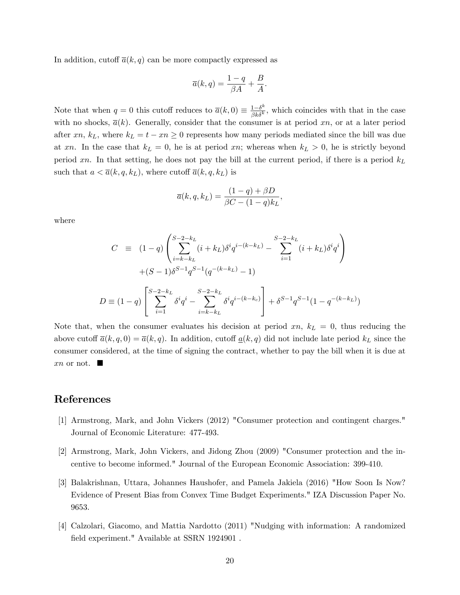In addition, cutoff  $\overline{a}(k, q)$  can be more compactly expressed as

$$
\overline{a}(k,q) = \frac{1-q}{\beta A} + \frac{B}{A}.
$$

Note that when  $q = 0$  this cutoff reduces to  $\bar{a}(k, 0) \equiv \frac{1 - \delta^k}{\beta k \delta^k}$  $\frac{1-\delta^n}{\beta k \delta^k}$ , which coincides with that in the case with no shocks,  $\bar{a}(k)$ . Generally, consider that the consumer is at period xn, or at a later period after xn,  $k_L$ , where  $k_L = t - xn \geq 0$  represents how many periods mediated since the bill was due at xn. In the case that  $k_L = 0$ , he is at period xn; whereas when  $k_L > 0$ , he is strictly beyond period xn. In that setting, he does not pay the bill at the current period, if there is a period  $k<sub>L</sub>$ such that  $a < \overline{a}(k, q, k_L)$ , where cutoff  $\overline{a}(k, q, k_L)$  is

$$
\overline{a}(k, q, k_L) = \frac{(1-q) + \beta D}{\beta C - (1-q)k_L},
$$

where

$$
C \equiv (1-q) \left( \sum_{i=k-k_L}^{S-2-k_L} (i+k_L) \delta^i q^{i-(k-k_L)} - \sum_{i=1}^{S-2-k_L} (i+k_L) \delta^i q^i \right) + (S-1) \delta^{S-1} q^{S-1} (q^{-(k-k_L)} - 1) D \equiv (1-q) \left[ \sum_{i=1}^{S-2-k_L} \delta^i q^i - \sum_{i=k-k_L}^{S-2-k_L} \delta^i q^{i-(k-k_c)} \right] + \delta^{S-1} q^{S-1} (1-q^{-(k-k_L)})
$$

Note that, when the consumer evaluates his decision at period  $xn$ ,  $k<sub>L</sub> = 0$ , thus reducing the above cutoff  $\overline{a}(k, q, 0) = \overline{a}(k, q)$ . In addition, cutoff  $\underline{a}(k, q)$  did not include late period  $k_L$  since the consumer considered, at the time of signing the contract, whether to pay the bill when it is due at  $x_n$  or not.  $\blacksquare$ 

### References

- [1] Armstrong, Mark, and John Vickers (2012) "Consumer protection and contingent charges." Journal of Economic Literature: 477-493.
- [2] Armstrong, Mark, John Vickers, and Jidong Zhou (2009) "Consumer protection and the incentive to become informed." Journal of the European Economic Association: 399-410.
- [3] Balakrishnan, Uttara, Johannes Haushofer, and Pamela Jakiela (2016) "How Soon Is Now? Evidence of Present Bias from Convex Time Budget Experiments." IZA Discussion Paper No. 9653.
- [4] Calzolari, Giacomo, and Mattia Nardotto (2011) "Nudging with information: A randomized field experiment." Available at SSRN 1924901.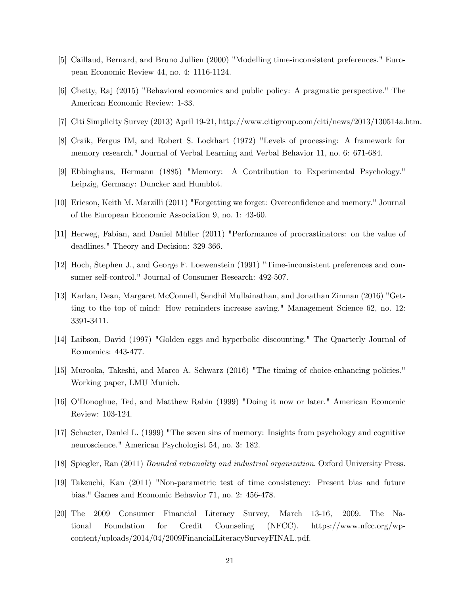- [5] Caillaud, Bernard, and Bruno Jullien (2000) "Modelling time-inconsistent preferences." European Economic Review 44, no. 4: 1116-1124.
- [6] Chetty, Raj (2015) "Behavioral economics and public policy: A pragmatic perspective." The American Economic Review: 1-33.
- [7] Citi Simplicity Survey (2013) April 19-21, http://www.citigroup.com/citi/news/2013/130514a.htm.
- [8] Craik, Fergus IM, and Robert S. Lockhart (1972) "Levels of processing: A framework for memory research." Journal of Verbal Learning and Verbal Behavior 11, no. 6: 671-684.
- [9] Ebbinghaus, Hermann (1885) "Memory: A Contribution to Experimental Psychology." Leipzig, Germany: Duncker and Humblot.
- [10] Ericson, Keith M. Marzilli (2011) "Forgetting we forget: Overconfidence and memory." Journal of the European Economic Association 9, no. 1: 43-60.
- [11] Herweg, Fabian, and Daniel Müller (2011) "Performance of procrastinators: on the value of deadlines." Theory and Decision: 329-366.
- [12] Hoch, Stephen J., and George F. Loewenstein (1991) "Time-inconsistent preferences and consumer self-control." Journal of Consumer Research: 492-507.
- [13] Karlan, Dean, Margaret McConnell, Sendhil Mullainathan, and Jonathan Zinman (2016) "Getting to the top of mind: How reminders increase saving." Management Science 62, no. 12: 3391-3411.
- [14] Laibson, David (1997) "Golden eggs and hyperbolic discounting." The Quarterly Journal of Economics: 443-477.
- [15] Murooka, Takeshi, and Marco A. Schwarz (2016) "The timing of choice-enhancing policies." Working paper, LMU Munich.
- [16] OíDonoghue, Ted, and Matthew Rabin (1999) "Doing it now or later." American Economic Review: 103-124.
- [17] Schacter, Daniel L. (1999) "The seven sins of memory: Insights from psychology and cognitive neuroscience." American Psychologist 54, no. 3: 182.
- [18] Spiegler, Ran (2011) Bounded rationality and industrial organization. Oxford University Press.
- [19] Takeuchi, Kan (2011) "Non-parametric test of time consistency: Present bias and future bias." Games and Economic Behavior 71, no. 2: 456-478.
- [20] The 2009 Consumer Financial Literacy Survey, March 13-16, 2009. The National Foundation for Credit Counseling (NFCC). https://www.nfcc.org/wpcontent/uploads/2014/04/2009FinancialLiteracySurveyFINAL.pdf.